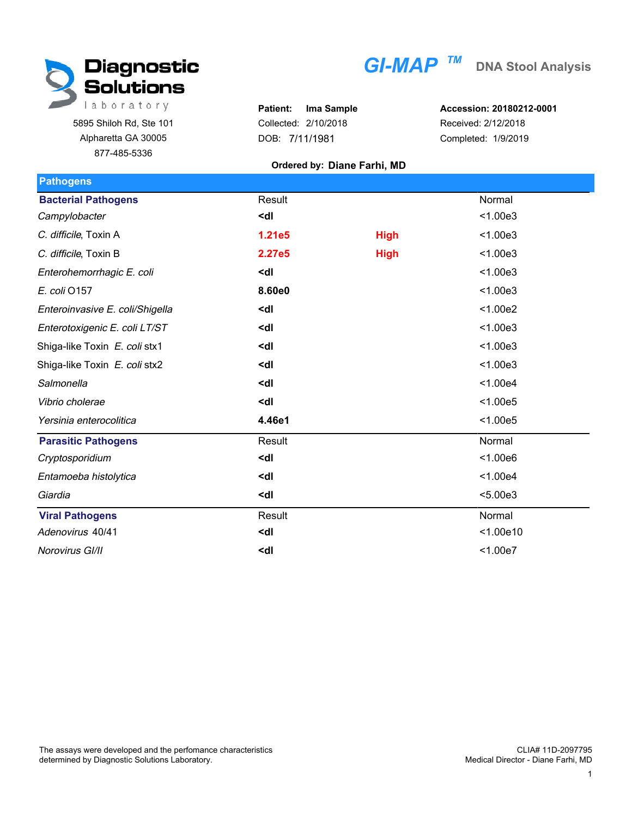

5895 Shiloh Rd, Ste 101 Alpharetta GA 30005 877-485-5336

|  |  | GI-MAP $^\pi$ |  |
|--|--|---------------|--|
|  |  |               |  |
|  |  |               |  |

**Patient: Ima Sample** Collected: 2/10/2018 DOB: 7/11/1981

**Accession: 20180212-0001** Received: 2/12/2018 Completed: 1/9/2019

## **Ordered by: Diane Farhi, MD**

| <b>Pathogens</b>                |                                                 |             |           |
|---------------------------------|-------------------------------------------------|-------------|-----------|
| <b>Bacterial Pathogens</b>      | Result                                          |             | Normal    |
| Campylobacter                   | <dl< td=""><td></td><td>&lt; 1.00e3</td></dl<>  |             | < 1.00e3  |
| C. difficile, Toxin A           | 1.21e5                                          | <b>High</b> | < 1.00e3  |
| C. difficile, Toxin B           | 2.27e5                                          | <b>High</b> | < 1.00e3  |
| Enterohemorrhagic E. coli       | <dl< td=""><td></td><td>&lt; 1.00e3</td></dl<>  |             | < 1.00e3  |
| E. coli 0157                    | 8.60e0                                          |             | < 1.00e3  |
| Enteroinvasive E. coli/Shigella | <dl< td=""><td></td><td>&lt; 1.00e2</td></dl<>  |             | < 1.00e2  |
| Enterotoxigenic E. coli LT/ST   | <dl< td=""><td></td><td>&lt; 1.00e3</td></dl<>  |             | < 1.00e3  |
| Shiga-like Toxin E. coli stx1   | <dl< td=""><td></td><td>&lt; 1.00e3</td></dl<>  |             | < 1.00e3  |
| Shiga-like Toxin E. coli stx2   | <dl< td=""><td></td><td>&lt; 1.00e3</td></dl<>  |             | < 1.00e3  |
| Salmonella                      | <dl< td=""><td></td><td>&lt; 1.00e4</td></dl<>  |             | < 1.00e4  |
| Vibrio cholerae                 | <dl< td=""><td></td><td>&lt; 1.00e5</td></dl<>  |             | < 1.00e5  |
| Yersinia enterocolitica         | 4.46e1                                          |             | < 1.00e5  |
| <b>Parasitic Pathogens</b>      | Result                                          |             | Normal    |
| Cryptosporidium                 | <dl< td=""><td></td><td>&lt; 1.00e6</td></dl<>  |             | < 1.00e6  |
| Entamoeba histolytica           | <dl< td=""><td></td><td>&lt; 1.00e4</td></dl<>  |             | < 1.00e4  |
| Giardia                         | <dl< td=""><td></td><td>&lt; 5.00e3</td></dl<>  |             | < 5.00e3  |
| <b>Viral Pathogens</b>          | Result                                          |             | Normal    |
| Adenovirus 40/41                | <dl< td=""><td></td><td>&lt; 1.00e10</td></dl<> |             | < 1.00e10 |
| Norovirus GI/II                 | <dl< td=""><td></td><td>&lt; 1.00e7</td></dl<>  |             | < 1.00e7  |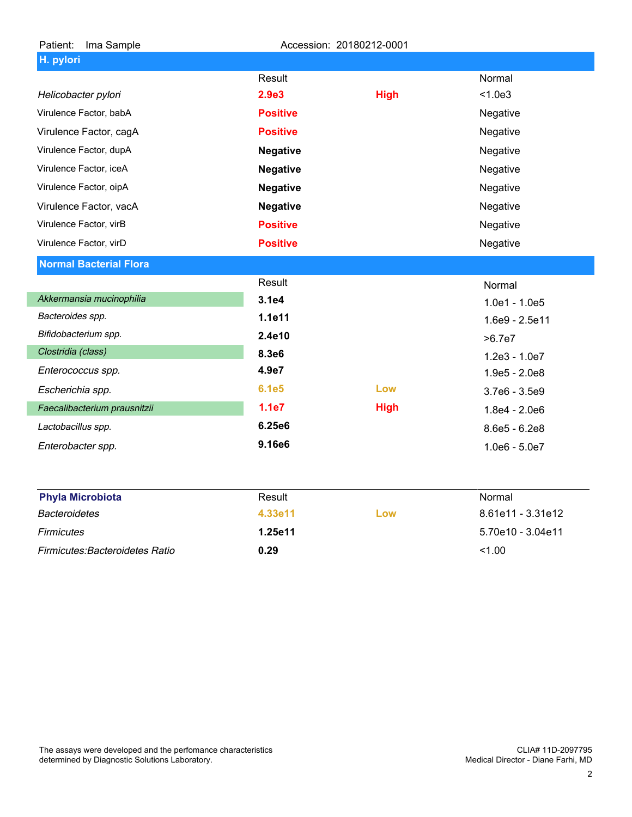| Patient:<br>Ima Sample        |                 | Accession: 20180212-0001 |                 |
|-------------------------------|-----------------|--------------------------|-----------------|
| H. pylori                     |                 |                          |                 |
|                               | Result          |                          | Normal          |
| Helicobacter pylori           | 2.9e3           | <b>High</b>              | < 1.0e3         |
| Virulence Factor, babA        | <b>Positive</b> |                          | Negative        |
| Virulence Factor, cagA        | <b>Positive</b> |                          | Negative        |
| Virulence Factor, dupA        | <b>Negative</b> |                          | Negative        |
| Virulence Factor, iceA        | <b>Negative</b> |                          | Negative        |
| Virulence Factor, oipA        | <b>Negative</b> |                          | Negative        |
| Virulence Factor, vacA        | <b>Negative</b> |                          | Negative        |
| Virulence Factor, virB        | <b>Positive</b> |                          | Negative        |
| Virulence Factor, virD        | <b>Positive</b> |                          | Negative        |
| <b>Normal Bacterial Flora</b> |                 |                          |                 |
|                               | Result          |                          | Normal          |
| Akkermansia mucinophilia      | 3.1e4           |                          | $1.0e1 - 1.0e5$ |
| Bacteroides spp.              | 1.1e11          |                          | 1.6e9 - 2.5e11  |
| Bifidobacterium spp.          | 2.4e10          |                          | >6.7e7          |
| Clostridia (class)            | 8.3e6           |                          | $1.2e3 - 1.0e7$ |
| Enterococcus spp.             | 4.9e7           |                          | $1.9e5 - 2.0e8$ |
| Escherichia spp.              | <b>6.1e5</b>    | Low                      | 3.7e6 - 3.5e9   |
| Faecalibacterium prausnitzii  | 1.1e7           | <b>High</b>              | $1.8e4 - 2.0e6$ |
| Lactobacillus spp.            | 6.25e6          |                          | $8.6e5 - 6.2e8$ |
| Enterobacter spp.             | 9.16e6          |                          | $1.0e6 - 5.0e7$ |
| <b>Phyla Microbiota</b>       | Result          |                          | Normal          |

| <b>Privia Micropiota</b>              | Result  |     | <u>Normal</u>     |
|---------------------------------------|---------|-----|-------------------|
| Bacteroidetes                         | 4.33e11 | Low | 8.61e11 - 3.31e12 |
| <b>Firmicutes</b>                     | 1.25e11 |     | 5.70e10 - 3.04e11 |
| <b>Firmicutes:Bacteroidetes Ratio</b> | 0.29    |     | 1.00              |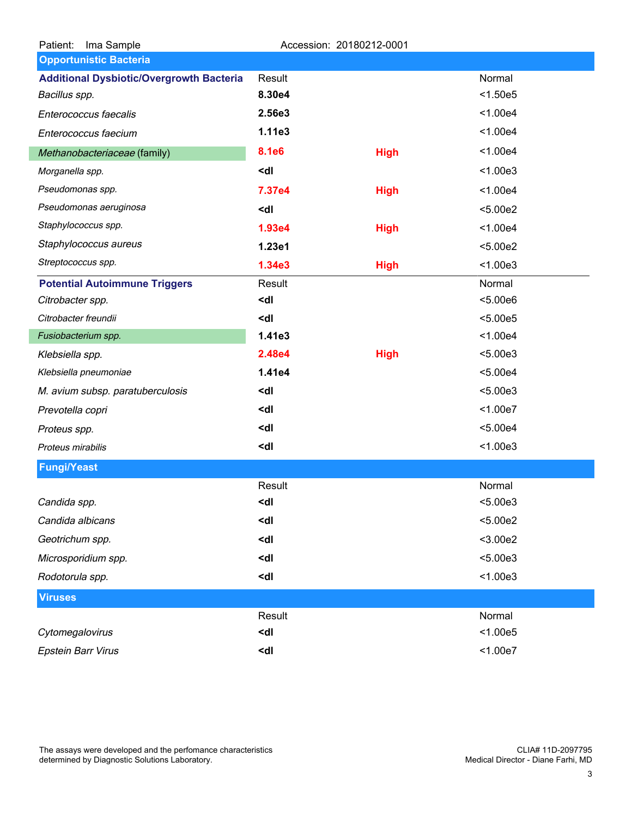| Ima Sample<br>Patient:                          |                                                                 | Accession: 20180212-0001 |          |  |
|-------------------------------------------------|-----------------------------------------------------------------|--------------------------|----------|--|
| <b>Opportunistic Bacteria</b>                   |                                                                 |                          |          |  |
| <b>Additional Dysbiotic/Overgrowth Bacteria</b> | Result                                                          |                          | Normal   |  |
| Bacillus spp.                                   | 8.30e4                                                          |                          | < 1.50e5 |  |
| Enterococcus faecalis                           | 2.56e3                                                          |                          | < 1.00e4 |  |
| Enterococcus faecium                            | 1.11e3                                                          |                          | < 1.00e4 |  |
| Methanobacteriaceae (family)                    | <b>8.1e6</b>                                                    | <b>High</b>              | < 1.00e4 |  |
| Morganella spp.                                 | <dl< td=""><td></td><td>&lt; 1.00e3</td><td></td></dl<>         |                          | < 1.00e3 |  |
| Pseudomonas spp.                                | 7.37e4                                                          | <b>High</b>              | < 1.00e4 |  |
| Pseudomonas aeruginosa                          | <dl< td=""><td></td><td>&lt; 5.00e2</td><td></td></dl<>         |                          | < 5.00e2 |  |
| Staphylococcus spp.                             | 1.93e4                                                          | <b>High</b>              | < 1.00e4 |  |
| Staphylococcus aureus                           | 1.23e1                                                          |                          | < 5.00e2 |  |
| Streptococcus spp.                              | 1.34e3                                                          | <b>High</b>              | < 1.00e3 |  |
| <b>Potential Autoimmune Triggers</b>            | Result                                                          |                          | Normal   |  |
| Citrobacter spp.                                | <dl< td=""><td></td><td>5.00e6</td><td></td></dl<>              |                          | 5.00e6   |  |
| Citrobacter freundii                            | <dl< td=""><td></td><td>&lt; 5.00e5</td><td></td></dl<>         |                          | < 5.00e5 |  |
| Fusiobacterium spp.                             | 1.41e3                                                          |                          | < 1.00e4 |  |
| Klebsiella spp.                                 | 2.48e4                                                          | <b>High</b>              | < 5.00e3 |  |
| Klebsiella pneumoniae                           | 1.41e4                                                          |                          | < 5.00e4 |  |
| M. avium subsp. paratuberculosis                | <dl< td=""><td></td><td>&lt; 5.00e3</td><td></td></dl<>         |                          | < 5.00e3 |  |
| Prevotella copri                                | <dl< td=""><td></td><td>&lt; 1.00e7</td><td></td></dl<>         |                          | < 1.00e7 |  |
| Proteus spp.                                    | <dl< td=""><td></td><td>&lt; 5.00e4</td><td></td></dl<>         |                          | < 5.00e4 |  |
| Proteus mirabilis                               | <dl< td=""><td></td><td>&lt; 1.00e3</td><td></td></dl<>         |                          | < 1.00e3 |  |
| <b>Fungi/Yeast</b>                              |                                                                 |                          |          |  |
|                                                 | Result                                                          |                          | Normal   |  |
| Candida spp.                                    | <dl< td=""><td></td><td>&lt; 5.00e3</td><td></td></dl<>         |                          | < 5.00e3 |  |
| Candida albicans                                | <dl< td=""><td></td><td>&lt; 5.00e2</td><td></td></dl<>         |                          | < 5.00e2 |  |
| Geotrichum spp.                                 | <dl< td=""><td></td><td><math>3.00e2</math></td><td></td></dl<> |                          | $3.00e2$ |  |
| Microsporidium spp.                             | <dl< td=""><td></td><td>&lt; 5.00e3</td><td></td></dl<>         |                          | < 5.00e3 |  |
| Rodotorula spp.                                 | <dl< td=""><td></td><td>&lt; 1.00e3</td><td></td></dl<>         |                          | < 1.00e3 |  |
| <b>Viruses</b>                                  |                                                                 |                          |          |  |
|                                                 | Result                                                          |                          | Normal   |  |
| Cytomegalovirus                                 | <dl< td=""><td></td><td>&lt; 1.00e5</td><td></td></dl<>         |                          | < 1.00e5 |  |
| <b>Epstein Barr Virus</b>                       | <dl< td=""><td></td><td>&lt; 1.00e7</td><td></td></dl<>         |                          | < 1.00e7 |  |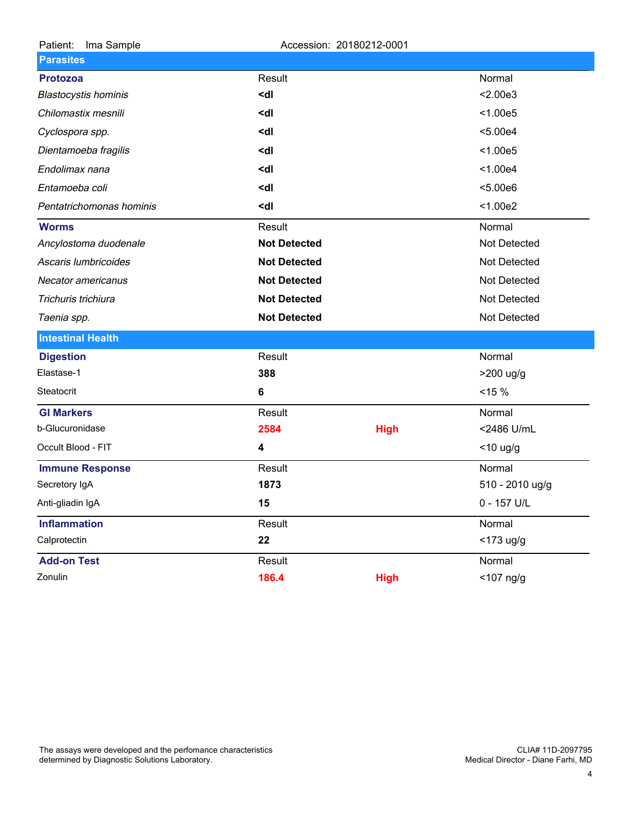| Patient:<br>Ima Sample      | Accession: 20180212-0001                       |             |                 |  |
|-----------------------------|------------------------------------------------|-------------|-----------------|--|
| <b>Parasites</b>            |                                                |             |                 |  |
| <b>Protozoa</b>             | Result                                         |             | Normal          |  |
| <b>Blastocystis hominis</b> | <dl< td=""><td></td><td>&lt; 2.00e3</td></dl<> |             | < 2.00e3        |  |
| Chilomastix mesnili         | <dl< td=""><td></td><td>&lt; 1.00e5</td></dl<> |             | < 1.00e5        |  |
| Cyclospora spp.             | <dl< td=""><td></td><td>&lt; 5.00e4</td></dl<> |             | < 5.00e4        |  |
| Dientamoeba fragilis        | <dl< td=""><td></td><td>&lt; 1.00e5</td></dl<> |             | < 1.00e5        |  |
| Endolimax nana              | <dl< td=""><td></td><td>&lt; 1.00e4</td></dl<> |             | < 1.00e4        |  |
| Entamoeba coli              | <dl< td=""><td></td><td>&lt; 5.00e6</td></dl<> |             | < 5.00e6        |  |
| Pentatrichomonas hominis    | <dl< th=""><th></th><th>&lt; 1.00e2</th></dl<> |             | < 1.00e2        |  |
| <b>Worms</b>                | Result                                         |             | Normal          |  |
| Ancylostoma duodenale       | <b>Not Detected</b>                            |             | Not Detected    |  |
| Ascaris lumbricoides        | <b>Not Detected</b>                            |             | Not Detected    |  |
| Necator americanus          | <b>Not Detected</b>                            |             | Not Detected    |  |
| Trichuris trichiura         | <b>Not Detected</b>                            |             | Not Detected    |  |
| Taenia spp.                 | <b>Not Detected</b>                            |             | Not Detected    |  |
| <b>Intestinal Health</b>    |                                                |             |                 |  |
| <b>Digestion</b>            | Result                                         |             | Normal          |  |
| Elastase-1                  | 388                                            |             | >200 ug/g       |  |
| Steatocrit                  | 6                                              |             | $< 15 \%$       |  |
| <b>GI Markers</b>           | Result                                         |             | Normal          |  |
| b-Glucuronidase             | 2584                                           | <b>High</b> | <2486 U/mL      |  |
| Occult Blood - FIT          | 4                                              |             | $<$ 10 ug/g     |  |
| <b>Immune Response</b>      | Result                                         |             | Normal          |  |
| Secretory IgA               | 1873                                           |             | 510 - 2010 ug/g |  |
| Anti-gliadin IgA            | 15                                             |             | 0 - 157 U/L     |  |
| <b>Inflammation</b>         | Result                                         |             | Normal          |  |
| Calprotectin                | 22                                             |             | <173 ug/g       |  |
| <b>Add-on Test</b>          | Result                                         |             | Normal          |  |
| Zonulin                     | 186.4                                          | <b>High</b> | $<$ 107 ng/g    |  |